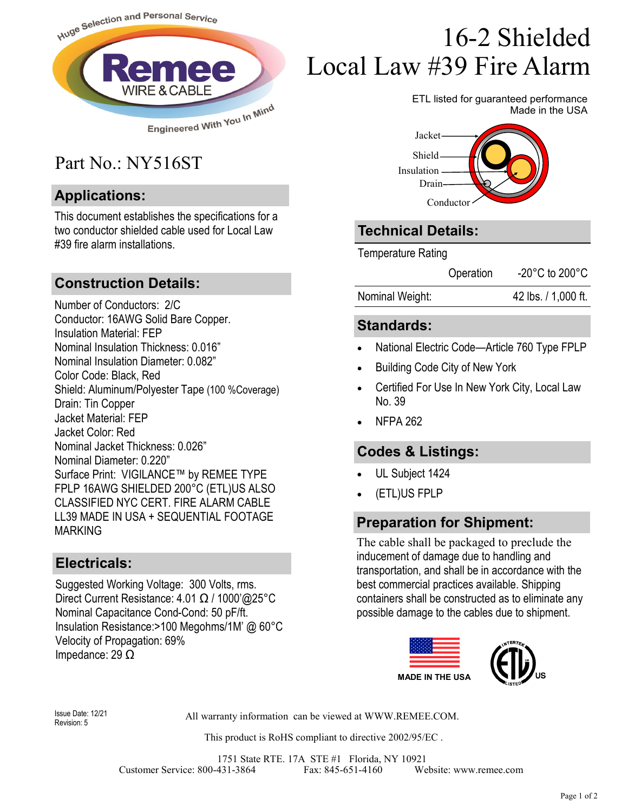

## Part No.: NY516ST

#### **Applications:**

This document establishes the specifications for a two conductor shielded cable used for Local Law #39 fire alarm installations.

#### **Construction Details:**

Number of Conductors: 2/C Conductor: 16AWG Solid Bare Copper. Insulation Material: FEP Nominal Insulation Thickness: 0.016" Nominal Insulation Diameter: 0.082" Color Code: Black, Red Shield: Aluminum/Polyester Tape (100 %Coverage) Drain: Tin Copper Jacket Material: FEP Jacket Color: Red Nominal Jacket Thickness: 0.026" Nominal Diameter: 0.220" Surface Print: VIGILANCE™ by REMEE TYPE FPLP 16AWG SHIELDED 200°C (ETL)US ALSO CLASSIFIED NYC CERT. FIRE ALARM CABLE LL39 MADE IN USA + SEQUENTIAL FOOTAGE MARKING

#### **Electricals:**

Suggested Working Voltage: 300 Volts, rms. Direct Current Resistance: 4.01 Ω / 1000'@25°C Nominal Capacitance Cond-Cond: 50 pF/ft. Insulation Resistance:>100 Megohms/1M' @ 60°C Velocity of Propagation: 69% Impedance: 29 Ω

# 16-2 Shielded Local Law #39 Fire Alarm

ETL listed for guaranteed performance Made in the USA



### **Technical Details:**

Temperature Rating

Operation -20°C to 200°C

Nominal Weight: 42 lbs. / 1,000 ft.

#### **Standards:**

- National Electric Code—Article 760 Type FPLP
- Building Code City of New York
- Certified For Use In New York City, Local Law No. 39
- NFPA 262

#### **Codes & Listings:**

- UL Subject 1424
- (ETL)US FPLP

#### **Preparation for Shipment:**

The cable shall be packaged to preclude the inducement of damage due to handling and transportation, and shall be in accordance with the best commercial practices available. Shipping containers shall be constructed as to eliminate any possible damage to the cables due to shipment.



Revision: 5

Issue Date: 12/21 All warranty information can be viewed at WWW.REMEE.COM.

This product is RoHS compliant to directive 2002/95/EC .

1751 State RTE. 17A STE #1 Florida, NY 10921 Customer Service: 800-431-3864 Fax: 845-651-4160 Website: www.remee.com